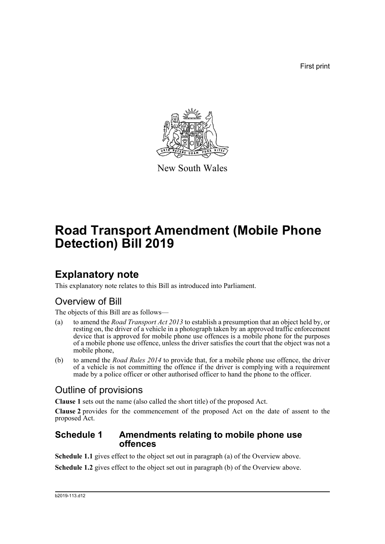First print



New South Wales

# **Road Transport Amendment (Mobile Phone Detection) Bill 2019**

### **Explanatory note**

This explanatory note relates to this Bill as introduced into Parliament.

### Overview of Bill

The objects of this Bill are as follows—

- (a) to amend the *Road Transport Act 2013* to establish a presumption that an object held by, or resting on, the driver of a vehicle in a photograph taken by an approved traffic enforcement device that is approved for mobile phone use offences is a mobile phone for the purposes of a mobile phone use offence, unless the driver satisfies the court that the object was not a mobile phone,
- (b) to amend the *Road Rules 2014* to provide that, for a mobile phone use offence, the driver of a vehicle is not committing the offence if the driver is complying with a requirement made by a police officer or other authorised officer to hand the phone to the officer.

### Outline of provisions

**Clause 1** sets out the name (also called the short title) of the proposed Act.

**Clause 2** provides for the commencement of the proposed Act on the date of assent to the proposed Act.

#### **Schedule 1 Amendments relating to mobile phone use offences**

**Schedule 1.1** gives effect to the object set out in paragraph (a) of the Overview above.

**Schedule 1.2** gives effect to the object set out in paragraph (b) of the Overview above.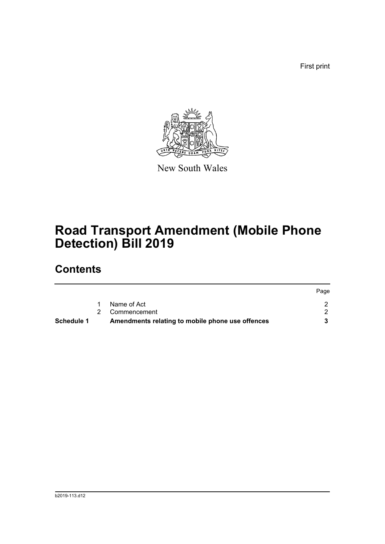First print



New South Wales

# **Road Transport Amendment (Mobile Phone Detection) Bill 2019**

## **Contents**

| Schedule 1 | Amendments relating to mobile phone use offences |      |
|------------|--------------------------------------------------|------|
|            | 2 Commencement                                   |      |
|            | Name of Act                                      |      |
|            |                                                  | Page |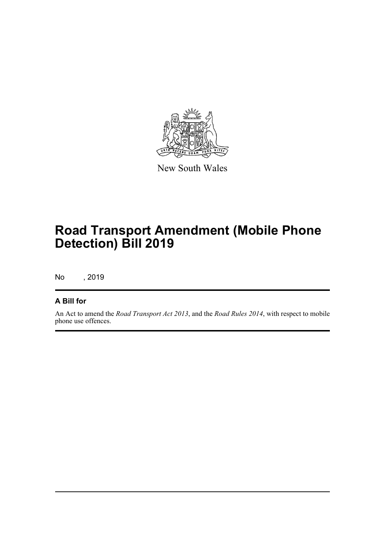

New South Wales

## **Road Transport Amendment (Mobile Phone Detection) Bill 2019**

No , 2019

#### **A Bill for**

An Act to amend the *Road Transport Act 2013*, and the *Road Rules 2014*, with respect to mobile phone use offences.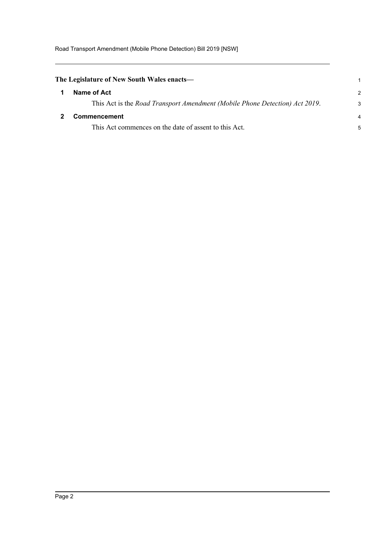<span id="page-3-1"></span><span id="page-3-0"></span>

| The Legislature of New South Wales enacts—                                  |               |  |
|-----------------------------------------------------------------------------|---------------|--|
| Name of Act                                                                 | $\mathcal{P}$ |  |
| This Act is the Road Transport Amendment (Mobile Phone Detection) Act 2019. | 3             |  |
| <b>Commencement</b>                                                         |               |  |
| This Act commences on the date of assent to this Act.                       | 5             |  |
|                                                                             |               |  |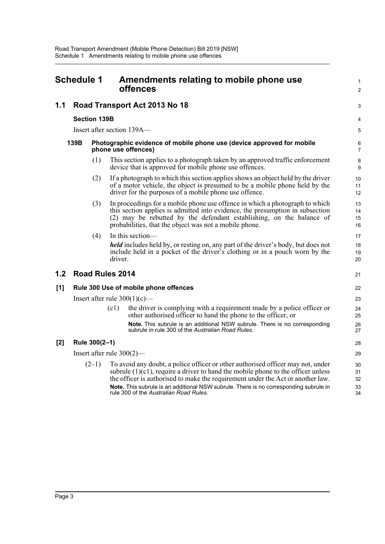<span id="page-4-0"></span>

| <b>Schedule 1</b> |                                       | Amendments relating to mobile phone use<br>offences |                                                                                              |                                                                                                                                                                                                                                                                                                                                                                                              |                            |  |  |  |
|-------------------|---------------------------------------|-----------------------------------------------------|----------------------------------------------------------------------------------------------|----------------------------------------------------------------------------------------------------------------------------------------------------------------------------------------------------------------------------------------------------------------------------------------------------------------------------------------------------------------------------------------------|----------------------------|--|--|--|
| 1.1               |                                       |                                                     |                                                                                              | Road Transport Act 2013 No 18                                                                                                                                                                                                                                                                                                                                                                | 3                          |  |  |  |
|                   |                                       | <b>Section 139B</b>                                 |                                                                                              |                                                                                                                                                                                                                                                                                                                                                                                              | 4                          |  |  |  |
|                   |                                       |                                                     |                                                                                              | Insert after section 139A-                                                                                                                                                                                                                                                                                                                                                                   | 5                          |  |  |  |
|                   | 139B                                  |                                                     | Photographic evidence of mobile phone use (device approved for mobile<br>phone use offences) |                                                                                                                                                                                                                                                                                                                                                                                              |                            |  |  |  |
|                   |                                       | (1)                                                 |                                                                                              | This section applies to a photograph taken by an approved traffic enforcement<br>device that is approved for mobile phone use offences.                                                                                                                                                                                                                                                      | 8<br>9                     |  |  |  |
|                   |                                       | (2)                                                 |                                                                                              | If a photograph to which this section applies shows an object held by the driver<br>of a motor vehicle, the object is presumed to be a mobile phone held by the<br>driver for the purposes of a mobile phone use offence.                                                                                                                                                                    | 10<br>11<br>12             |  |  |  |
|                   |                                       | (3)                                                 |                                                                                              | In proceedings for a mobile phone use offence in which a photograph to which<br>this section applies is admitted into evidence, the presumption in subsection<br>(2) may be rebutted by the defendant establishing, on the balance of<br>probabilities, that the object was not a mobile phone.                                                                                              | 13<br>14<br>15<br>16       |  |  |  |
|                   |                                       | (4)                                                 | driver.                                                                                      | In this section-<br><i>held</i> includes held by, or resting on, any part of the driver's body, but does not<br>include held in a pocket of the driver's clothing or in a pouch worn by the                                                                                                                                                                                                  | 17<br>18<br>19<br>20       |  |  |  |
| 1.2               |                                       |                                                     | <b>Road Rules 2014</b>                                                                       |                                                                                                                                                                                                                                                                                                                                                                                              | 21                         |  |  |  |
| [1]               | Rule 300 Use of mobile phone offences |                                                     |                                                                                              |                                                                                                                                                                                                                                                                                                                                                                                              |                            |  |  |  |
|                   | Insert after rule $300(1)(c)$ —       |                                                     |                                                                                              |                                                                                                                                                                                                                                                                                                                                                                                              |                            |  |  |  |
|                   |                                       |                                                     | (c1)                                                                                         | the driver is complying with a requirement made by a police officer or<br>other authorised officer to hand the phone to the officer, or                                                                                                                                                                                                                                                      | 24<br>25                   |  |  |  |
|                   |                                       |                                                     |                                                                                              | Note. This subrule is an additional NSW subrule. There is no corresponding<br>subrule in rule 300 of the Australian Road Rules.                                                                                                                                                                                                                                                              | 26<br>27                   |  |  |  |
| $[2]$             |                                       | Rule 300(2-1)                                       |                                                                                              |                                                                                                                                                                                                                                                                                                                                                                                              | 28                         |  |  |  |
|                   | Insert after rule $300(2)$ —          |                                                     |                                                                                              |                                                                                                                                                                                                                                                                                                                                                                                              |                            |  |  |  |
|                   |                                       | $(2-1)$                                             |                                                                                              | To avoid any doubt, a police officer or other authorised officer may not, under<br>subrule $(1)(c1)$ , require a driver to hand the mobile phone to the officer unless<br>the officer is authorised to make the requirement under the Act or another law.<br>Note. This subrule is an additional NSW subrule. There is no corresponding subrule in<br>rule 300 of the Australian Road Rules. | 30<br>31<br>32<br>33<br>34 |  |  |  |